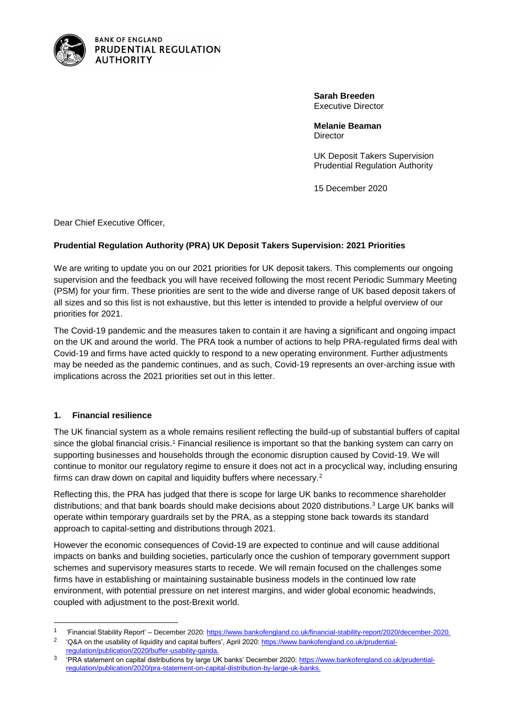

**BANK OF ENGLAND** PRUDENTIAL REGULATION **AUTHORITY** 

> **Sarah Breeden** Executive Director

**Melanie Beaman Director** 

UK Deposit Takers Supervision Prudential Regulation Authority

15 December 2020

Dear Chief Executive Officer,

#### **Prudential Regulation Authority (PRA) UK Deposit Takers Supervision: 2021 Priorities**

We are writing to update you on our 2021 priorities for UK deposit takers. This complements our ongoing supervision and the feedback you will have received following the most recent Periodic Summary Meeting (PSM) for your firm. These priorities are sent to the wide and diverse range of UK based deposit takers of all sizes and so this list is not exhaustive, but this letter is intended to provide a helpful overview of our priorities for 2021.

The Covid-19 pandemic and the measures taken to contain it are having a significant and ongoing impact on the UK and around the world. The PRA took a number of actions to help PRA-regulated firms deal with Covid-19 and firms have acted quickly to respond to a new operating environment. Further adjustments may be needed as the pandemic continues, and as such, Covid-19 represents an over-arching issue with implications across the 2021 priorities set out in this letter.

#### **1. Financial resilience**

l

The UK financial system as a whole remains resilient reflecting the build-up of substantial buffers of capital since the global financial crisis.<sup>1</sup> Financial resilience is important so that the banking system can carry on supporting businesses and households through the economic disruption caused by Covid-19. We will continue to monitor our regulatory regime to ensure it does not act in a procyclical way, including ensuring firms can draw down on capital and liquidity buffers where necessary.<sup>2</sup>

Reflecting this, the PRA has judged that there is scope for large UK banks to recommence shareholder distributions; and that bank boards should make decisions about 2020 distributions.<sup>3</sup> Large UK banks will operate within temporary guardrails set by the PRA, as a stepping stone back towards its standard approach to capital-setting and distributions through 2021.

However the economic consequences of Covid-19 are expected to continue and will cause additional impacts on banks and building societies, particularly once the cushion of temporary government support schemes and supervisory measures starts to recede. We will remain focused on the challenges some firms have in establishing or maintaining sustainable business models in the continued low rate environment, with potential pressure on net interest margins, and wider global economic headwinds, coupled with adjustment to the post-Brexit world.

<sup>1</sup> 'Financial Stability Report' – December 2020[: https://www.bankofengland.co.uk/financial-stability-report/2020/december-2020.](https://www.bankofengland.co.uk/financial-stability-report/2020/december-2020)

<sup>&</sup>lt;sup>2</sup> 'Q&A on the usability of liquidity and capital buffers', April 2020: [https://www.bankofengland.co.uk/prudential](https://www.bankofengland.co.uk/prudential-regulation/publication/2020/buffer-usability-qanda)[regulation/publication/2020/buffer-usability-qanda.](https://www.bankofengland.co.uk/prudential-regulation/publication/2020/buffer-usability-qanda)

<sup>3</sup> 'PRA statement on capital distributions by large UK banks' December 2020[: https://www.bankofengland.co.uk/prudential](https://www.bankofengland.co.uk/prudential-regulation/publication/2020/pra-statement-on-capital-distribution-by-large-uk-banks)[regulation/publication/2020/pra-statement-on-capital-distribution-by-large-uk-banks.](https://www.bankofengland.co.uk/prudential-regulation/publication/2020/pra-statement-on-capital-distribution-by-large-uk-banks)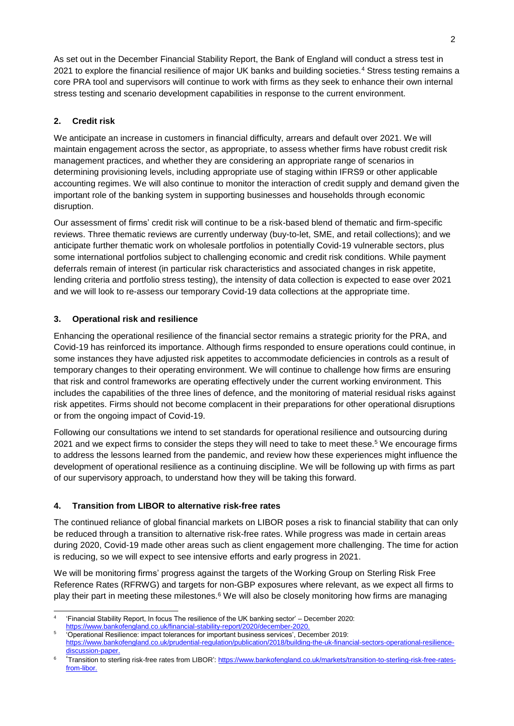As set out in the December Financial Stability Report, the Bank of England will conduct a stress test in 2021 to explore the financial resilience of major UK banks and building societies.<sup>4</sup> Stress testing remains a core PRA tool and supervisors will continue to work with firms as they seek to enhance their own internal stress testing and scenario development capabilities in response to the current environment.

# **2. Credit risk**

We anticipate an increase in customers in financial difficulty, arrears and default over 2021. We will maintain engagement across the sector, as appropriate, to assess whether firms have robust credit risk management practices, and whether they are considering an appropriate range of scenarios in determining provisioning levels, including appropriate use of staging within IFRS9 or other applicable accounting regimes. We will also continue to monitor the interaction of credit supply and demand given the important role of the banking system in supporting businesses and households through economic disruption.

Our assessment of firms' credit risk will continue to be a risk-based blend of thematic and firm-specific reviews. Three thematic reviews are currently underway (buy-to-let, SME, and retail collections); and we anticipate further thematic work on wholesale portfolios in potentially Covid-19 vulnerable sectors, plus some international portfolios subject to challenging economic and credit risk conditions. While payment deferrals remain of interest (in particular risk characteristics and associated changes in risk appetite, lending criteria and portfolio stress testing), the intensity of data collection is expected to ease over 2021 and we will look to re-assess our temporary Covid-19 data collections at the appropriate time.

## **3. Operational risk and resilience**

Enhancing the operational resilience of the financial sector remains a strategic priority for the PRA, and Covid-19 has reinforced its importance. Although firms responded to ensure operations could continue, in some instances they have adjusted risk appetites to accommodate deficiencies in controls as a result of temporary changes to their operating environment. We will continue to challenge how firms are ensuring that risk and control frameworks are operating effectively under the current working environment. This includes the capabilities of the three lines of defence, and the monitoring of material residual risks against risk appetites. Firms should not become complacent in their preparations for other operational disruptions or from the ongoing impact of Covid-19.

Following our consultations we intend to set standards for operational resilience and outsourcing during 2021 and we expect firms to consider the steps they will need to take to meet these.<sup>5</sup> We encourage firms to address the lessons learned from the pandemic, and review how these experiences might influence the development of operational resilience as a continuing discipline. We will be following up with firms as part of our supervisory approach, to understand how they will be taking this forward.

## **4. Transition from LIBOR to alternative risk-free rates**

The continued reliance of global financial markets on LIBOR poses a risk to financial stability that can only be reduced through a transition to alternative risk-free rates. While progress was made in certain areas during 2020, Covid-19 made other areas such as client engagement more challenging. The time for action is reducing, so we will expect to see intensive efforts and early progress in 2021.

We will be monitoring firms' progress against the targets of the Working Group on Sterling Risk Free Reference Rates (RFRWG) and targets for non-GBP exposures where relevant, as we expect all firms to play their part in meeting these milestones.<sup>6</sup> We will also be closely monitoring how firms are managing

l 4 'Financial Stability Report, In focus The resilience of the UK banking sector' – December 2020: [https://www.bankofengland.co.uk/financial-stability-report/2020/december-2020.](https://www.bankofengland.co.uk/financial-stability-report/2020/december-2020)

<sup>5</sup> 'Operational Resilience: impact tolerances for important business services', December 2019: [https://www.bankofengland.co.uk/prudential-regulation/publication/2018/building-the-uk-financial-sectors-operational-resilience](https://www.bankofengland.co.uk/prudential-regulation/publication/2018/building-the-uk-financial-sectors-operational-resilience-discussion-paper)[discussion-paper.](https://www.bankofengland.co.uk/prudential-regulation/publication/2018/building-the-uk-financial-sectors-operational-resilience-discussion-paper)

<sup>6</sup> 'Transition to sterling risk-free rates from LIBOR'[: https://www.bankofengland.co.uk/markets/transition-to-sterling-risk-free-rates](https://www.bankofengland.co.uk/markets/transition-to-sterling-risk-free-rates-from-libor)[from-libor.](https://www.bankofengland.co.uk/markets/transition-to-sterling-risk-free-rates-from-libor)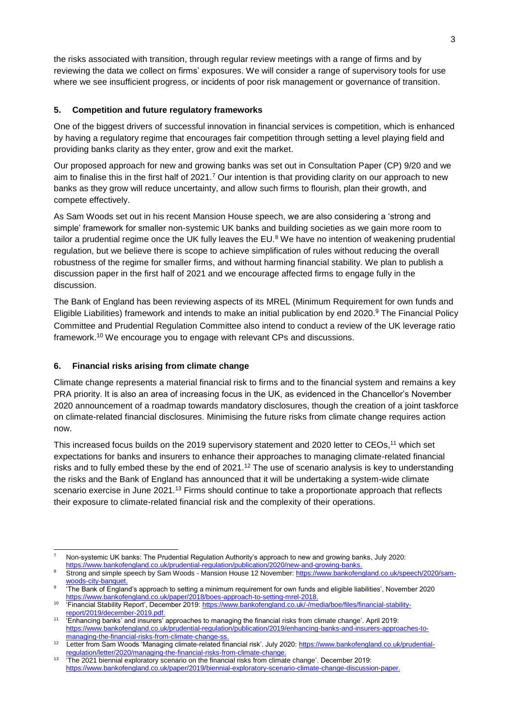the risks associated with transition, through regular review meetings with a range of firms and by reviewing the data we collect on firms' exposures. We will consider a range of supervisory tools for use where we see insufficient progress, or incidents of poor risk management or governance of transition.

#### **5. Competition and future regulatory frameworks**

One of the biggest drivers of successful innovation in financial services is competition, which is enhanced by having a regulatory regime that encourages fair competition through setting a level playing field and providing banks clarity as they enter, grow and exit the market.

Our proposed approach for new and growing banks was set out in Consultation Paper (CP) 9/20 and we aim to finalise this in the first half of 2021.<sup>7</sup> Our intention is that providing clarity on our approach to new banks as they grow will reduce uncertainty, and allow such firms to flourish, plan their growth, and compete effectively.

As Sam Woods set out in his recent Mansion House speech, we are also considering a 'strong and simple' framework for smaller non-systemic UK banks and building societies as we gain more room to tailor a prudential regime once the UK fully leaves the EU.<sup>8</sup> We have no intention of weakening prudential regulation, but we believe there is scope to achieve simplification of rules without reducing the overall robustness of the regime for smaller firms, and without harming financial stability. We plan to publish a discussion paper in the first half of 2021 and we encourage affected firms to engage fully in the discussion.

The Bank of England has been reviewing aspects of its MREL (Minimum Requirement for own funds and Eligible Liabilities) framework and intends to make an initial publication by end 2020.<sup>9</sup> The Financial Policy Committee and Prudential Regulation Committee also intend to conduct a review of the UK leverage ratio framework.<sup>10</sup> We encourage you to engage with relevant CPs and discussions.

### **6. Financial risks arising from climate change**

Climate change represents a material financial risk to firms and to the financial system and remains a key PRA priority. It is also an area of increasing focus in the UK, as evidenced in the Chancellor's November 2020 announcement of a roadmap towards mandatory disclosures, though the creation of a joint taskforce on climate-related financial disclosures. Minimising the future risks from climate change requires action now.

This increased focus builds on the 2019 supervisory statement and 2020 letter to CEOs,<sup>11</sup> which set expectations for banks and insurers to enhance their approaches to managing climate-related financial risks and to fully embed these by the end of  $2021<sup>12</sup>$  The use of scenario analysis is key to understanding the risks and the Bank of England has announced that it will be undertaking a system-wide climate scenario exercise in June 2021.<sup>13</sup> Firms should continue to take a proportionate approach that reflects their exposure to climate-related financial risk and the complexity of their operations.

l <sup>7</sup> Non-systemic UK banks: The Prudential Regulation Authority's approach to new and growing banks, July 2020: https://www.bankofengland.co.uk/prudential-regulation/publication/2020/new-and-growing-banks

<sup>8</sup> Strong and simple speech by Sam Woods - Mansion House 12 November: [https://www.bankofengland.co.uk/speech/2020/sam](https://www.bankofengland.co.uk/speech/2020/sam-woods-city-banquet)woods-city-banquet

<sup>9</sup> 'The Bank of England's approach to setting a minimum requirement for own funds and eligible liabilities', November 2020 [https://www.bankofengland.co.uk/paper/2018/boes-approach-to-setting-mrel-2018.](https://www.bankofengland.co.uk/paper/2018/boes-approach-to-setting-mrel-2018)

<sup>10</sup> 'Financial Stability Report', December 2019[: https://www.bankofengland.co.uk/-/media/boe/files/financial-stability](https://www.bankofengland.co.uk/-/media/boe/files/financial-stability-report/2019/december-2019.pdf)[report/2019/december-2019.pdf.](https://www.bankofengland.co.uk/-/media/boe/files/financial-stability-report/2019/december-2019.pdf) 11

<sup>&#</sup>x27;Enhancing banks' and insurers' approaches to managing the financial risks from climate change'. April 2019: [https://www.bankofengland.co.uk/prudential-regulation/publication/2019/enhancing-banks-and-insurers-approaches-to](https://www.bankofengland.co.uk/prudential-regulation/publication/2019/enhancing-banks-and-insurers-approaches-to-managing-the-financial-risks-from-climate-change-ss)[managing-the-financial-risks-from-climate-change-ss.](https://www.bankofengland.co.uk/prudential-regulation/publication/2019/enhancing-banks-and-insurers-approaches-to-managing-the-financial-risks-from-climate-change-ss)

<sup>12</sup> Letter from Sam Woods 'Managing climate-related financial risk'. July 2020: [https://www.bankofengland.co.uk/prudential](https://www.bankofengland.co.uk/prudential-regulation/letter/2020/managing-the-financial-risks-from-climate-change)regulation/letter/2020/managing-the-financial-risks-from-climate-cha

<sup>13</sup> 'The 2021 biennial exploratory scenario on the financial risks from climate change'. December 2019: [https://www.bankofengland.co.uk/paper/2019/biennial-exploratory-scenario-climate-change-discussion-paper.](https://www.bankofengland.co.uk/paper/2019/biennial-exploratory-scenario-climate-change-discussion-paper)